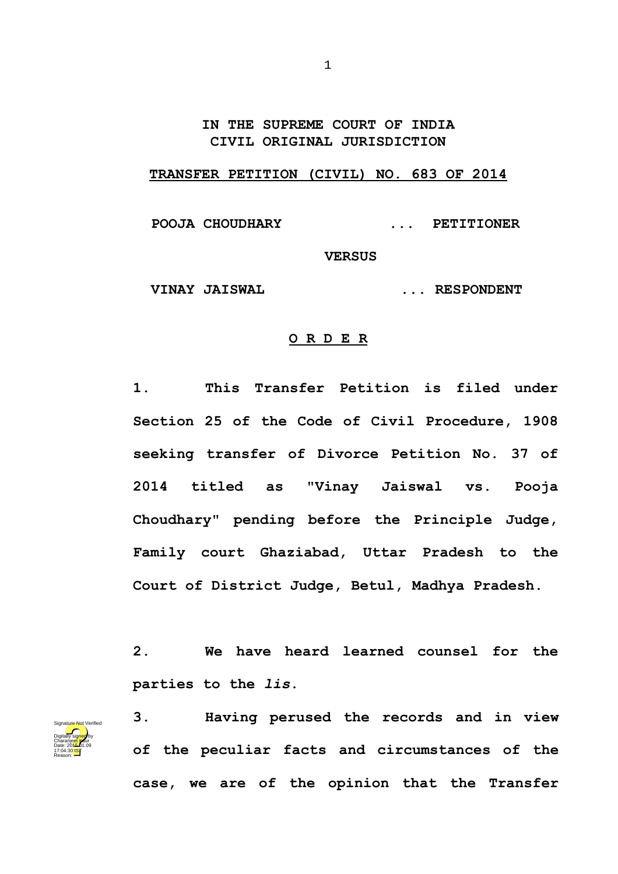## **IN THE SUPREME COURT OF INDIA CIVIL ORIGINAL JURISDICTION**

## **TRANSFER PETITION (CIVIL) NO. 683 OF 2014**

 **POOJA CHOUDHARY ... PETITIONER** 

**VERSUS**

 **VINAY JAISWAL ... RESPONDENT**

## **O R D E R**

**1. This Transfer Petition is filed under Section 25 of the Code of Civil Procedure, 1908 seeking transfer of Divorce Petition No. 37 of 2014 titled as "Vinay Jaiswal vs. Pooja Choudhary" pending before the Principle Judge, Family court Ghaziabad, Uttar Pradesh to the Court of District Judge, Betul, Madhya Pradesh.**

**2. We have heard learned counsel for the parties to the** *lis***.**



**3. Having perused the records and in view of the peculiar facts and circumstances of the case, we are of the opinion that the Transfer**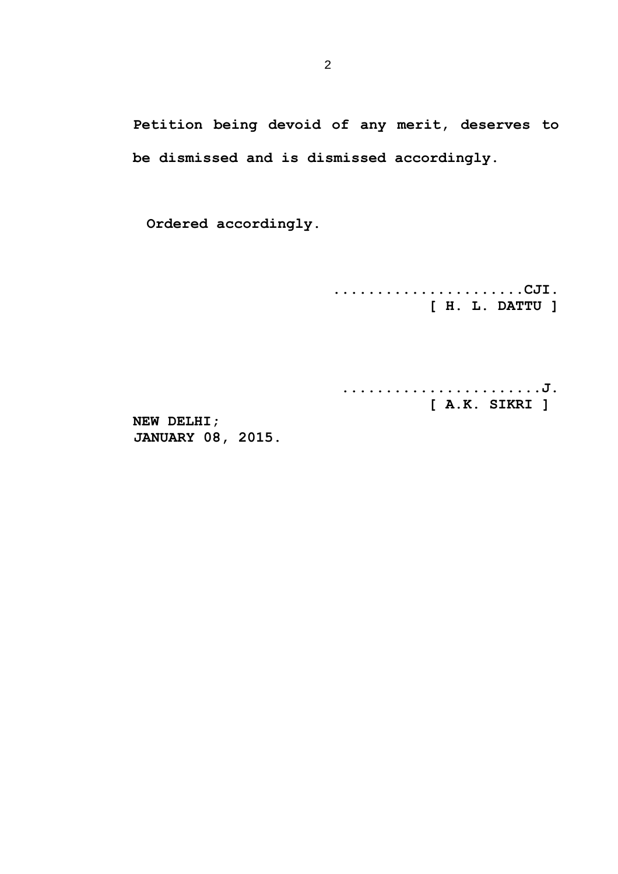**Petition being devoid of any merit, deserves to be dismissed and is dismissed accordingly.**

**Ordered accordingly.**

**......................CJI. [ H. L. DATTU ]**

**.......................J. [ A.K. SIKRI ]** 

**NEW DELHI; JANUARY 08, 2015.**